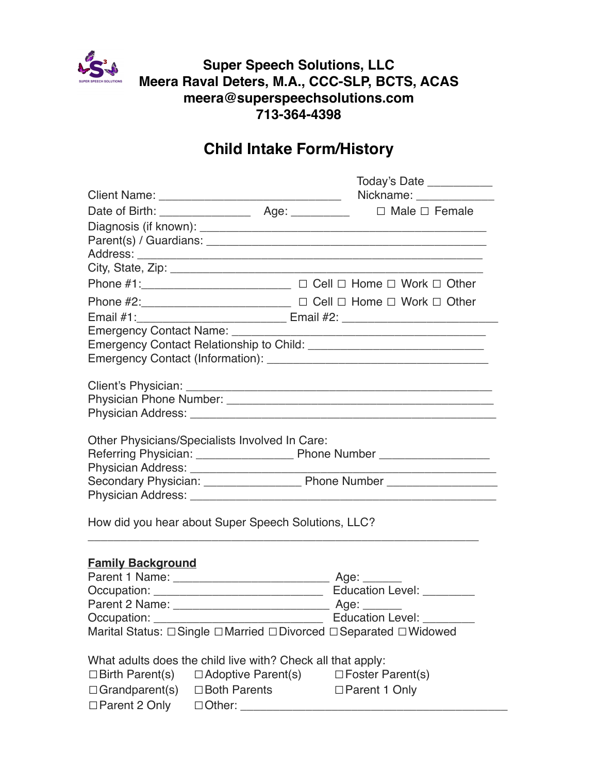

**Super Speech Solutions, LLC Meera Raval Deters, M.A., CCC-SLP, BCTS, ACAS meera@superspeechsolutions.com 713-364-4398** 

# **Child Intake Form/History**

|                          |                                                             | Today's Date ____________                                                        |
|--------------------------|-------------------------------------------------------------|----------------------------------------------------------------------------------|
|                          |                                                             |                                                                                  |
|                          |                                                             |                                                                                  |
|                          |                                                             |                                                                                  |
|                          |                                                             |                                                                                  |
|                          |                                                             |                                                                                  |
|                          |                                                             |                                                                                  |
|                          |                                                             | Phone #1: _________________________ □ Cell □ Home □ Work □ Other                 |
|                          |                                                             | Phone #2: __________________________ □ Cell □ Home □ Work □ Other                |
|                          |                                                             | Email #1: __________________________________ Email #2: _________________________ |
|                          |                                                             |                                                                                  |
|                          |                                                             |                                                                                  |
|                          |                                                             |                                                                                  |
|                          |                                                             |                                                                                  |
|                          |                                                             |                                                                                  |
|                          |                                                             |                                                                                  |
|                          |                                                             |                                                                                  |
|                          | Other Physicians/Specialists Involved In Care:              |                                                                                  |
|                          |                                                             |                                                                                  |
|                          |                                                             |                                                                                  |
|                          |                                                             |                                                                                  |
|                          |                                                             |                                                                                  |
|                          |                                                             |                                                                                  |
|                          | How did you hear about Super Speech Solutions, LLC?         |                                                                                  |
|                          |                                                             |                                                                                  |
| <b>Family Background</b> |                                                             |                                                                                  |
|                          |                                                             |                                                                                  |
|                          |                                                             |                                                                                  |
|                          |                                                             |                                                                                  |
| Occupation:              |                                                             | Education Level: _________                                                       |
|                          |                                                             | Marital Status: □Single □Married □Divorced □Separated □Widowed                   |
|                          | What adults does the child live with? Check all that apply: |                                                                                  |
| $\Box$ Birth Parent(s)   | $\Box$ Adoptive Parent(s)                                   | $\Box$ Foster Parent(s)                                                          |
| $\Box$ Grandparent(s)    | □ Both Parents                                              | □ Parent 1 Only                                                                  |
| $\Box$ Parent 2 Only     | $\Box$ Other:                                               |                                                                                  |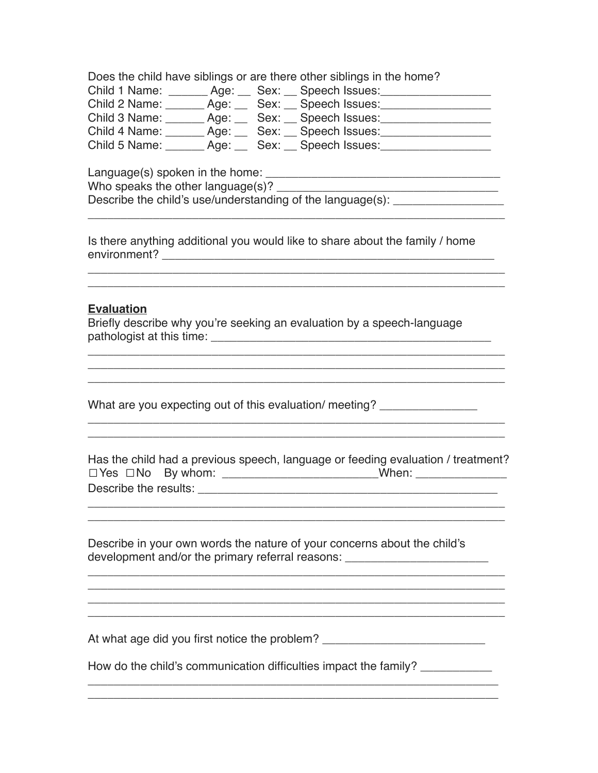Does the child have siblings or are there other siblings in the home?

|               | Child 1 Name: _______ Age: ___ Sex: __ Speech Issues: |                                    |  |
|---------------|-------------------------------------------------------|------------------------------------|--|
| Child 2 Name: |                                                       |                                    |  |
|               | Child 3 Name: _______ Age: ___ Sex: __ Speech Issues: |                                    |  |
| Child 4 Name: |                                                       | _Age: __ Sex: __ Speech lssues:_   |  |
| Child 5 Name: |                                                       | _ Age: ___ Sex: __ Speech Issues:_ |  |

Language(s) spoken in the home: \_\_\_\_\_\_\_\_\_\_\_\_\_\_\_\_\_\_\_\_\_\_\_\_\_\_\_\_\_\_\_\_\_\_\_\_ Who speaks the other language(s)? \_\_\_\_\_\_\_\_\_\_\_\_\_\_\_\_\_\_\_\_\_\_\_\_\_\_\_\_\_\_\_\_\_\_ Describe the child's use/understanding of the language $(s)$ :

Is there anything additional you would like to share about the family / home environment? \_\_\_\_\_\_\_\_\_\_\_\_\_\_\_\_\_\_\_\_\_\_\_\_\_\_\_\_\_\_\_\_\_\_\_\_\_\_\_\_\_\_\_\_\_\_\_\_\_\_\_

\_\_\_\_\_\_\_\_\_\_\_\_\_\_\_\_\_\_\_\_\_\_\_\_\_\_\_\_\_\_\_\_\_\_\_\_\_\_\_\_\_\_\_\_\_\_\_\_\_\_\_\_\_\_\_\_\_\_\_\_\_\_\_\_

\_\_\_\_\_\_\_\_\_\_\_\_\_\_\_\_\_\_\_\_\_\_\_\_\_\_\_\_\_\_\_\_\_\_\_\_\_\_\_\_\_\_\_\_\_\_\_\_\_\_\_\_\_\_\_\_\_\_\_\_\_\_\_\_

## **Evaluation**

Briefly describe why you're seeking an evaluation by a speech-language pathologist at this time: \_\_\_\_\_\_\_\_\_\_\_\_\_\_\_\_\_\_\_\_\_\_\_\_\_\_\_\_\_\_\_\_\_\_\_\_\_\_\_\_\_\_\_

What are you expecting out of this evaluation/ meeting?

Has the child had a previous speech, language or feeding evaluation / treatment? ☐Yes ☐No By whom: \_\_\_\_\_\_\_\_\_\_\_\_\_\_\_\_\_\_\_\_\_\_\_\_When: \_\_\_\_\_\_\_\_\_\_\_\_\_\_ Describe the results: **Example 10** and  $\overline{a}$  and  $\overline{b}$  and  $\overline{c}$  and  $\overline{d}$  and  $\overline{b}$  and  $\overline{a}$  and  $\overline{a}$  and  $\overline{a}$  and  $\overline{a}$  and  $\overline{a}$  and  $\overline{a}$  and  $\overline{a}$  and  $\overline{a}$  and  $\overline{a}$  and

\_\_\_\_\_\_\_\_\_\_\_\_\_\_\_\_\_\_\_\_\_\_\_\_\_\_\_\_\_\_\_\_\_\_\_\_\_\_\_\_\_\_\_\_\_\_\_\_\_\_\_\_\_\_\_\_\_\_\_\_\_\_\_\_ \_\_\_\_\_\_\_\_\_\_\_\_\_\_\_\_\_\_\_\_\_\_\_\_\_\_\_\_\_\_\_\_\_\_\_\_\_\_\_\_\_\_\_\_\_\_\_\_\_\_\_\_\_\_\_\_\_\_\_\_\_\_\_\_

\_\_\_\_\_\_\_\_\_\_\_\_\_\_\_\_\_\_\_\_\_\_\_\_\_\_\_\_\_\_\_\_\_\_\_\_\_\_\_\_\_\_\_\_\_\_\_\_\_\_\_\_\_\_\_\_\_\_\_\_\_\_\_\_

 $\mathcal{L}_\mathcal{L}$  , and the set of the set of the set of the set of the set of the set of the set of the set of the set of the set of the set of the set of the set of the set of the set of the set of the set of the set of th

\_\_\_\_\_\_\_\_\_\_\_\_\_\_\_\_\_\_\_\_\_\_\_\_\_\_\_\_\_\_\_\_\_\_\_\_\_\_\_\_\_\_\_\_\_\_\_\_\_\_\_\_\_\_\_\_\_\_\_\_\_\_\_\_

\_\_\_\_\_\_\_\_\_\_\_\_\_\_\_\_\_\_\_\_\_\_\_\_\_\_\_\_\_\_\_\_\_\_\_\_\_\_\_\_\_\_\_\_\_\_\_\_\_\_\_\_\_\_\_\_\_\_\_\_\_\_\_\_ \_\_\_\_\_\_\_\_\_\_\_\_\_\_\_\_\_\_\_\_\_\_\_\_\_\_\_\_\_\_\_\_\_\_\_\_\_\_\_\_\_\_\_\_\_\_\_\_\_\_\_\_\_\_\_\_\_\_\_\_\_\_\_\_

Describe in your own words the nature of your concerns about the child's development and/or the primary referral reasons: \_\_\_\_\_\_\_\_\_\_\_\_\_\_\_\_\_\_\_\_\_\_\_\_\_\_\_\_\_\_\_

At what age did you first notice the problem? \_\_\_\_\_\_\_\_\_\_\_\_\_\_\_\_\_\_\_\_\_\_\_\_\_\_\_\_\_\_\_\_\_\_

How do the child's communication difficulties impact the family? \_\_\_\_\_\_\_\_\_\_\_\_\_\_

\_\_\_\_\_\_\_\_\_\_\_\_\_\_\_\_\_\_\_\_\_\_\_\_\_\_\_\_\_\_\_\_\_\_\_\_\_\_\_\_\_\_\_\_\_\_\_\_\_\_\_\_\_\_\_\_\_\_\_\_\_\_\_ \_\_\_\_\_\_\_\_\_\_\_\_\_\_\_\_\_\_\_\_\_\_\_\_\_\_\_\_\_\_\_\_\_\_\_\_\_\_\_\_\_\_\_\_\_\_\_\_\_\_\_\_\_\_\_\_\_\_\_\_\_\_\_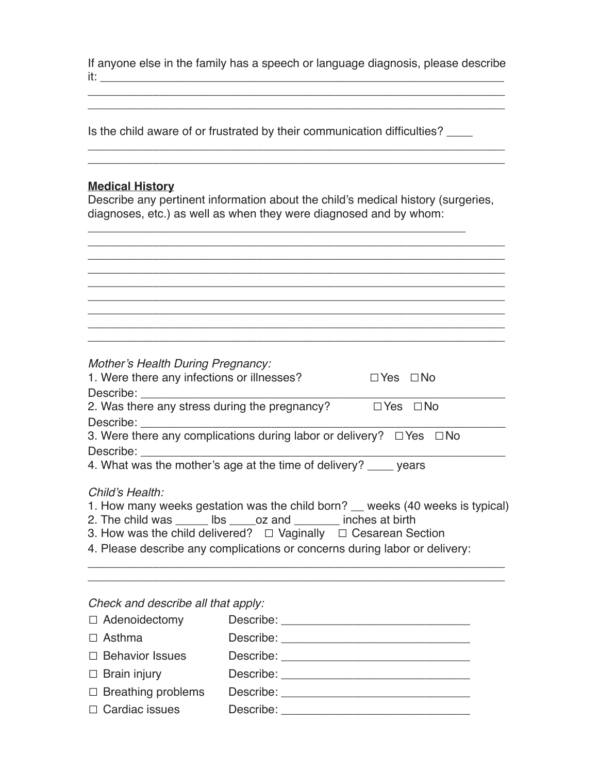If anyone else in the family has a speech or language diagnosis, please describe it: \_\_\_\_\_\_\_\_\_\_\_\_\_\_\_\_\_\_\_\_\_\_\_\_\_\_\_\_\_\_\_\_\_\_\_\_\_\_\_\_\_\_\_\_\_\_\_\_\_\_\_\_\_\_\_\_\_\_\_\_\_\_

\_\_\_\_\_\_\_\_\_\_\_\_\_\_\_\_\_\_\_\_\_\_\_\_\_\_\_\_\_\_\_\_\_\_\_\_\_\_\_\_\_\_\_\_\_\_\_\_\_\_\_\_\_\_\_\_\_\_\_\_\_\_\_\_

\_\_\_\_\_\_\_\_\_\_\_\_\_\_\_\_\_\_\_\_\_\_\_\_\_\_\_\_\_\_\_\_\_\_\_\_\_\_\_\_\_\_\_\_\_\_\_\_\_\_\_\_\_\_\_\_\_\_\_\_\_\_\_\_ \_\_\_\_\_\_\_\_\_\_\_\_\_\_\_\_\_\_\_\_\_\_\_\_\_\_\_\_\_\_\_\_\_\_\_\_\_\_\_\_\_\_\_\_\_\_\_\_\_\_\_\_\_\_\_\_\_\_\_\_\_\_\_\_

Is the child aware of or frustrated by their communication difficulties?

#### **Medical History**

Describe any pertinent information about the child's medical history (surgeries, diagnoses, etc.) as well as when they were diagnosed and by whom:

\_\_\_\_\_\_\_\_\_\_\_\_\_\_\_\_\_\_\_\_\_\_\_\_\_\_\_\_\_\_\_\_\_\_\_\_\_\_\_\_\_\_\_\_\_\_\_\_\_\_\_\_\_\_\_\_\_\_

| <u> 1989 - Andrea Andrea Andrea Andrea Andrea Andrea Andrea Andrea Andrea Andrea Andrea Andrea Andrea Andrea And</u> |  |  |
|----------------------------------------------------------------------------------------------------------------------|--|--|
|                                                                                                                      |  |  |
|                                                                                                                      |  |  |

| Mother's Health During Pregnancy:<br>1. Were there any infections or illnesses? | $\Box$ Yes $\Box$ No |  |
|---------------------------------------------------------------------------------|----------------------|--|
| Describe:                                                                       |                      |  |
| 2. Was there any stress during the pregnancy?                                   | $\Box$ Yes $\Box$ No |  |
| Describe:                                                                       |                      |  |
| 3. Were there any complications during labor or delivery? $\Box$ Yes $\Box$ No  |                      |  |
| Describe:                                                                       |                      |  |

4. What was the mother's age at the time of delivery? \_\_\_\_ years

#### *Child's Health:*

1. How many weeks gestation was the child born? \_\_ weeks (40 weeks is typical)

\_\_\_\_\_\_\_\_\_\_\_\_\_\_\_\_\_\_\_\_\_\_\_\_\_\_\_\_\_\_\_\_\_\_\_\_\_\_\_\_\_\_\_\_\_\_\_\_\_\_\_\_\_\_\_\_\_\_\_\_\_\_\_\_ \_\_\_\_\_\_\_\_\_\_\_\_\_\_\_\_\_\_\_\_\_\_\_\_\_\_\_\_\_\_\_\_\_\_\_\_\_\_\_\_\_\_\_\_\_\_\_\_\_\_\_\_\_\_\_\_\_\_\_\_\_\_\_\_

- 2. The child was \_\_\_\_\_\_ lbs \_\_\_\_\_oz and \_\_\_\_\_\_\_ inches at birth
- 3. How was the child delivered?  $\Box$  Vaginally  $\Box$  Cesarean Section
- 4. Please describe any complications or concerns during labor or delivery:

#### *Check and describe all that apply:*

| $\Box$ Adenoidectomy      |           |
|---------------------------|-----------|
| $\Box$ Asthma             |           |
| $\Box$ Behavior Issues    |           |
| $\Box$ Brain injury       |           |
| $\Box$ Breathing problems |           |
| $\Box$ Cardiac issues     | Describe: |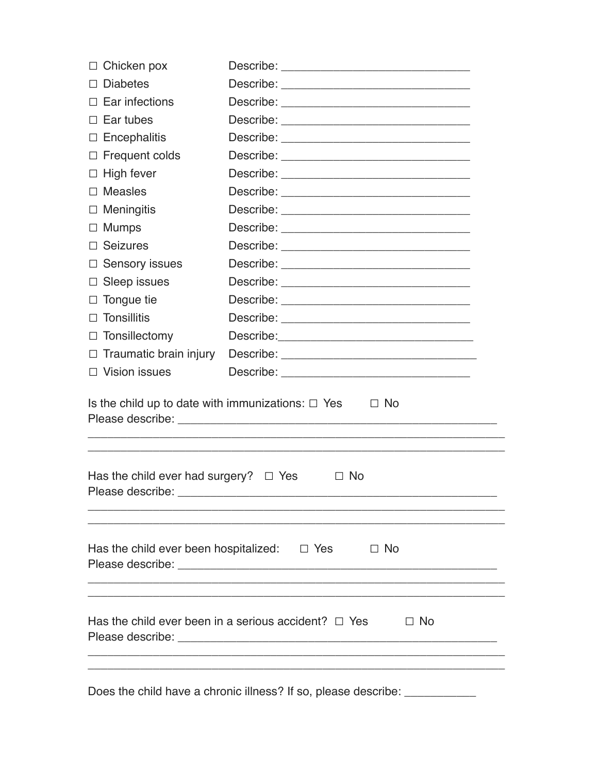| $\Box$ Chicken pox                                                                                                                                 |                                                                     |  |  |
|----------------------------------------------------------------------------------------------------------------------------------------------------|---------------------------------------------------------------------|--|--|
| $\Box$ Diabetes                                                                                                                                    |                                                                     |  |  |
| $\Box$ Ear infections                                                                                                                              |                                                                     |  |  |
| $\Box$ Ear tubes                                                                                                                                   |                                                                     |  |  |
| $\Box$ Encephalitis                                                                                                                                |                                                                     |  |  |
| $\Box$ Frequent colds                                                                                                                              |                                                                     |  |  |
| $\Box$ High fever                                                                                                                                  |                                                                     |  |  |
| $\Box$ Measles                                                                                                                                     |                                                                     |  |  |
| $\Box$ Meningitis                                                                                                                                  |                                                                     |  |  |
| $\Box$ Mumps                                                                                                                                       |                                                                     |  |  |
| $\Box$ Seizures                                                                                                                                    |                                                                     |  |  |
| $\Box$ Sensory issues                                                                                                                              |                                                                     |  |  |
| $\Box$ Sleep issues                                                                                                                                |                                                                     |  |  |
| $\Box$ Tongue tie                                                                                                                                  |                                                                     |  |  |
| $\Box$ Tonsillitis                                                                                                                                 |                                                                     |  |  |
| $\Box$ Tonsillectomy                                                                                                                               |                                                                     |  |  |
| $\Box$ Traumatic brain injury                                                                                                                      |                                                                     |  |  |
| $\Box$ Vision issues                                                                                                                               |                                                                     |  |  |
| Is the child up to date with immunizations: $\Box$ Yes<br>$\Box$ No<br>Has the child ever had surgery? $\Box$ Yes<br>$\Box$ No<br>Please describe: |                                                                     |  |  |
|                                                                                                                                                    |                                                                     |  |  |
|                                                                                                                                                    | Has the child ever been in a serious accident? $\Box$ Yes $\Box$ No |  |  |
|                                                                                                                                                    |                                                                     |  |  |

Does the child have a chronic illness? If so, please describe: \_\_\_\_\_\_\_\_\_\_\_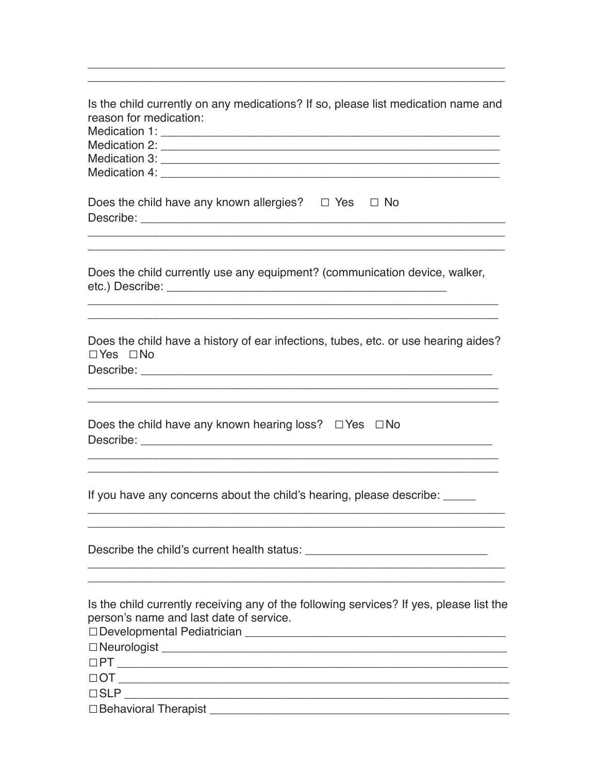| Is the child currently on any medications? If so, please list medication name and<br>reason for medication:                                                                                                                                                                                                                                                             |
|-------------------------------------------------------------------------------------------------------------------------------------------------------------------------------------------------------------------------------------------------------------------------------------------------------------------------------------------------------------------------|
| Does the child have any known allergies? $\square$ Yes $\square$ No                                                                                                                                                                                                                                                                                                     |
| <u> 1989 - Johann Stoff, amerikansk politiker (d. 1989)</u><br>Does the child currently use any equipment? (communication device, walker,                                                                                                                                                                                                                               |
| Does the child have a history of ear infections, tubes, etc. or use hearing aides?<br>$\Box$ Yes $\Box$ No                                                                                                                                                                                                                                                              |
| Does the child have any known hearing loss? $\Box$ Yes $\Box$ No                                                                                                                                                                                                                                                                                                        |
| If you have any concerns about the child's hearing, please describe: _____                                                                                                                                                                                                                                                                                              |
|                                                                                                                                                                                                                                                                                                                                                                         |
| Is the child currently receiving any of the following services? If yes, please list the<br>person's name and last date of service.<br>□ Behavioral Therapist <u>[1994]</u> The contract of the contract of the contract of the contract of the contract of the contract of the contract of the contract of the contract of the contract of the contract of the contract |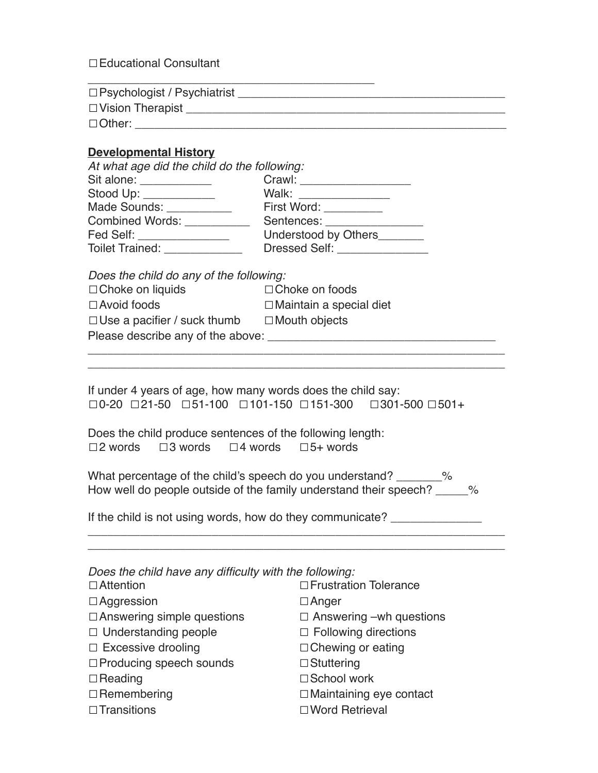☐Educational Consultant

| $\Box$ Psychologist / Psychiatrist |  |
|------------------------------------|--|
| $\Box$ Vision Therapist            |  |
| $\Box$ Other:                      |  |

## **Developmental History**

| At what age did the child do the following: |                             |  |
|---------------------------------------------|-----------------------------|--|
| Sit alone: <u>_________</u> ____            |                             |  |
| Stood Up: ____________                      | Walk: _________________     |  |
| Made Sounds: Made Sounds:                   | First Word: _________       |  |
| <b>Combined Words:</b>                      | Sentences: Networks         |  |
| Fed Self: _________________                 | Understood by Others_______ |  |
| Toilet Trained: _____________               | Dressed Self: _____________ |  |

*Does the child do any of the following:* 

| $\Box$ Choke on liquids            | $\Box$ Choke on foods          |  |
|------------------------------------|--------------------------------|--|
| $\Box$ Avoid foods                 | $\Box$ Maintain a special diet |  |
| $\Box$ Use a pacifier / suck thumb | $\Box$ Mouth objects           |  |
| Please describe any of the above:  |                                |  |

If under 4 years of age, how many words does the child say: ☐0-20 ☐21-50 ☐51-100 ☐101-150 ☐151-300 ☐301-500 ☐501+

\_\_\_\_\_\_\_\_\_\_\_\_\_\_\_\_\_\_\_\_\_\_\_\_\_\_\_\_\_\_\_\_\_\_\_\_\_\_\_\_\_\_\_\_\_\_\_\_\_\_\_\_\_\_\_\_\_\_\_\_\_\_\_\_ \_\_\_\_\_\_\_\_\_\_\_\_\_\_\_\_\_\_\_\_\_\_\_\_\_\_\_\_\_\_\_\_\_\_\_\_\_\_\_\_\_\_\_\_\_\_\_\_\_\_\_\_\_\_\_\_\_\_\_\_\_\_\_\_

Does the child produce sentences of the following length: ☐2 words ☐3 words ☐4 words ☐5+ words

What percentage of the child's speech do you understand? \_\_\_\_\_\_\_% How well do people outside of the family understand their speech? \_\_\_\_\_%

\_\_\_\_\_\_\_\_\_\_\_\_\_\_\_\_\_\_\_\_\_\_\_\_\_\_\_\_\_\_\_\_\_\_\_\_\_\_\_\_\_\_\_\_\_\_\_\_\_\_\_\_\_\_\_\_\_\_\_\_\_\_\_\_ \_\_\_\_\_\_\_\_\_\_\_\_\_\_\_\_\_\_\_\_\_\_\_\_\_\_\_\_\_\_\_\_\_\_\_\_\_\_\_\_\_\_\_\_\_\_\_\_\_\_\_\_\_\_\_\_\_\_\_\_\_\_\_\_

If the child is not using words, how do they communicate? \_\_\_\_\_\_\_\_\_\_\_\_\_\_\_\_\_\_\_\_\_\_

| Does the child have any difficulty with the following: |                                |  |  |
|--------------------------------------------------------|--------------------------------|--|--|
| $\Box$ Attention                                       | □ Frustration Tolerance        |  |  |
| $\Box$ Aggression                                      | $\Box$ Anger                   |  |  |
| $\Box$ Answering simple questions                      | $\Box$ Answering –wh questions |  |  |
| $\Box$ Understanding people                            | $\Box$ Following directions    |  |  |
| $\Box$ Excessive drooling                              | $\Box$ Chewing or eating       |  |  |
| $\Box$ Producing speech sounds                         | $\Box$ Stuttering              |  |  |
| $\Box$ Reading                                         | □ School work                  |  |  |
| $\Box$ Remembering                                     | $\Box$ Maintaining eye contact |  |  |
| $\Box$ Transitions                                     | □ Word Retrieval               |  |  |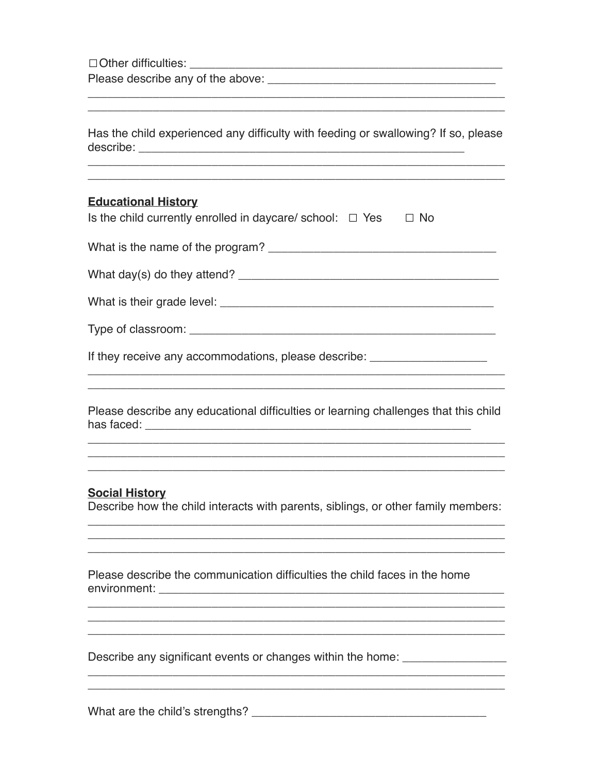$\Box$  Other difficulties:

Please describe any of the above: The state of the state of the state of the state of the state of the state of the state of the state of the state of the state of the state of the state of the state of the state of the st

Has the child experienced any difficulty with feeding or swallowing? If so, please 

<u> 1989 - Johann Stoff, deutscher Stoff, deutscher Stoff, der Stoff, der Stoff, der Stoff, der Stoff, der Stoff, </u>

## **Educational History**

| What is the name of the program? |  |
|----------------------------------|--|
|----------------------------------|--|

What day(s) do they attend?

If they receive any accommodations, please describe:

Please describe any educational difficulties or learning challenges that this child 

# **Social History**

Describe how the child interacts with parents, siblings, or other family members:

Please describe the communication difficulties the child faces in the home environment: environment:

Describe any significant events or changes within the home: \_\_\_\_\_\_\_\_\_\_\_\_\_\_\_